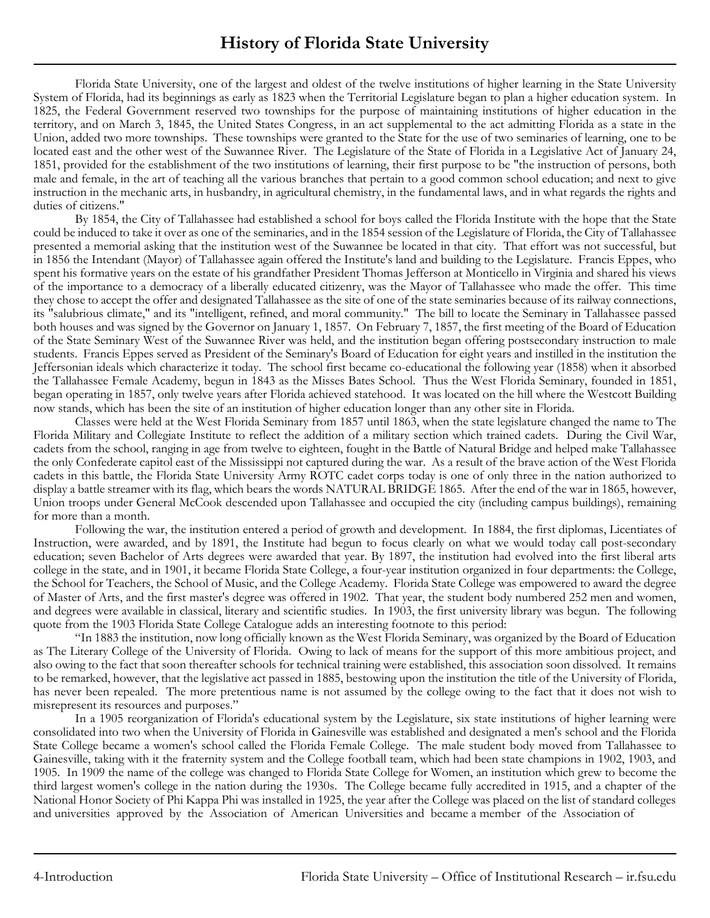Florida State University, one of the largest and oldest of the twelve institutions of higher learning in the State University System of Florida, had its beginnings as early as 1823 when the Territorial Legislature began to plan a higher education system. In 1825, the Federal Government reserved two townships for the purpose of maintaining institutions of higher education in the territory, and on March 3, 1845, the United States Congress, in an act supplemental to the act admitting Florida as a state in the Union, added two more townships. These townships were granted to the State for the use of two seminaries of learning, one to be located east and the other west of the Suwannee River. The Legislature of the State of Florida in a Legislative Act of January 24, 1851, provided for the establishment of the two institutions of learning, their first purpose to be "the instruction of persons, both male and female, in the art of teaching all the various branches that pertain to a good common school education; and next to give instruction in the mechanic arts, in husbandry, in agricultural chemistry, in the fundamental laws, and in what regards the rights and duties of citizens."

By 1854, the City of Tallahassee had established a school for boys called the Florida Institute with the hope that the State could be induced to take it over as one of the seminaries, and in the 1854 session of the Legislature of Florida, the City of Tallahassee presented a memorial asking that the institution west of the Suwannee be located in that city. That effort was not successful, but in 1856 the Intendant (Mayor) of Tallahassee again offered the Institute's land and building to the Legislature. Francis Eppes, who spent his formative years on the estate of his grandfather President Thomas Jefferson at Monticello in Virginia and shared his views of the importance to a democracy of a liberally educated citizenry, was the Mayor of Tallahassee who made the offer. This time they chose to accept the offer and designated Tallahassee as the site of one of the state seminaries because of its railway connections, its "salubrious climate," and its "intelligent, refined, and moral community." The bill to locate the Seminary in Tallahassee passed both houses and was signed by the Governor on January 1, 1857. On February 7, 1857, the first meeting of the Board of Education of the State Seminary West of the Suwannee River was held, and the institution began offering postsecondary instruction to male students. Francis Eppes served as President of the Seminary's Board of Education for eight years and instilled in the institution the Jeffersonian ideals which characterize it today. The school first became co-educational the following year (1858) when it absorbed the Tallahassee Female Academy, begun in 1843 as the Misses Bates School. Thus the West Florida Seminary, founded in 1851, began operating in 1857, only twelve years after Florida achieved statehood. It was located on the hill where the Westcott Building now stands, which has been the site of an institution of higher education longer than any other site in Florida.

Classes were held at the West Florida Seminary from 1857 until 1863, when the state legislature changed the name to The Florida Military and Collegiate Institute to reflect the addition of a military section which trained cadets. During the Civil War, cadets from the school, ranging in age from twelve to eighteen, fought in the Battle of Natural Bridge and helped make Tallahassee the only Confederate capitol east of the Mississippi not captured during the war. As a result of the brave action of the West Florida cadets in this battle, the Florida State University Army ROTC cadet corps today is one of only three in the nation authorized to display a battle streamer with its flag, which bears the words NATURAL BRIDGE 1865. After the end of the war in 1865, however, Union troops under General McCook descended upon Tallahassee and occupied the city (including campus buildings), remaining for more than a month.

Following the war, the institution entered a period of growth and development. In 1884, the first diplomas, Licentiates of Instruction, were awarded, and by 1891, the Institute had begun to focus clearly on what we would today call post-secondary education; seven Bachelor of Arts degrees were awarded that year. By 1897, the institution had evolved into the first liberal arts college in the state, and in 1901, it became Florida State College, a four-year institution organized in four departments: the College, the School for Teachers, the School of Music, and the College Academy. Florida State College was empowered to award the degree of Master of Arts, and the first master's degree was offered in 1902. That year, the student body numbered 252 men and women, and degrees were available in classical, literary and scientific studies. In 1903, the first university library was begun. The following quote from the 1903 Florida State College Catalogue adds an interesting footnote to this period:

"In 1883 the institution, now long officially known as the West Florida Seminary, was organized by the Board of Education as The Literary College of the University of Florida. Owing to lack of means for the support of this more ambitious project, and also owing to the fact that soon thereafter schools for technical training were established, this association soon dissolved. It remains to be remarked, however, that the legislative act passed in 1885, bestowing upon the institution the title of the University of Florida, has never been repealed. The more pretentious name is not assumed by the college owing to the fact that it does not wish to misrepresent its resources and purposes."

In a 1905 reorganization of Florida's educational system by the Legislature, six state institutions of higher learning were consolidated into two when the University of Florida in Gainesville was established and designated a men's school and the Florida State College became a women's school called the Florida Female College. The male student body moved from Tallahassee to Gainesville, taking with it the fraternity system and the College football team, which had been state champions in 1902, 1903, and 1905. In 1909 the name of the college was changed to Florida State College for Women, an institution which grew to become the third largest women's college in the nation during the 1930s. The College became fully accredited in 1915, and a chapter of the National Honor Society of Phi Kappa Phi was installed in 1925, the year after the College was placed on the list of standard colleges and universities approved by the Association of American Universities and became a member of the Association of